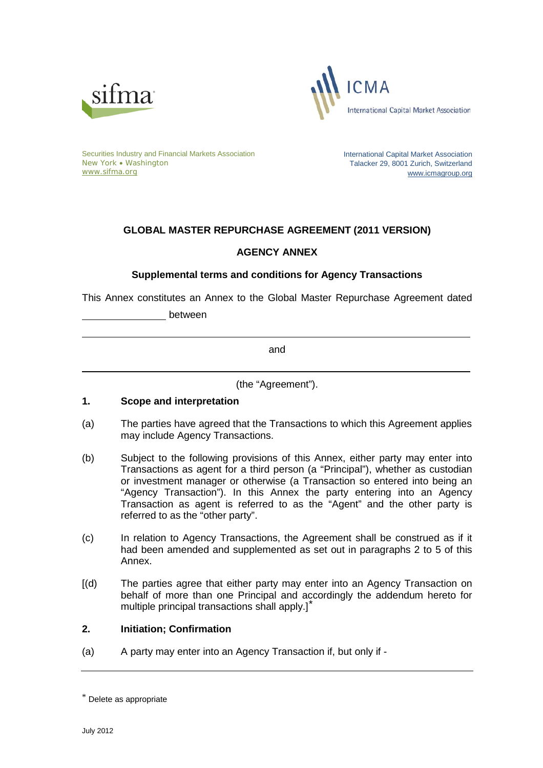



Securities Industry and Financial Markets Association New York • Washington [www.sifma.org](http://www.sifma.org/)

International Capital Market Association Talacker 29, 8001 Zurich, Switzerland [www.icmagroup.org](http://www.icmagroup.org/)

# **GLOBAL MASTER REPURCHASE AGREEMENT (2011 VERSION)**

# **AGENCY ANNEX**

# **Supplemental terms and conditions for Agency Transactions**

This Annex constitutes an Annex to the Global Master Repurchase Agreement dated

between

and

(the "Agreement").

# **1. Scope and interpretation**

- (a) The parties have agreed that the Transactions to which this Agreement applies may include Agency Transactions.
- (b) Subject to the following provisions of this Annex, either party may enter into Transactions as agent for a third person (a "Principal"), whether as custodian or investment manager or otherwise (a Transaction so entered into being an "Agency Transaction"). In this Annex the party entering into an Agency Transaction as agent is referred to as the "Agent" and the other party is referred to as the "other party".
- (c) In relation to Agency Transactions, the Agreement shall be construed as if it had been amended and supplemented as set out in paragraphs 2 to 5 of this Annex.
- [(d) The parties agree that either party may enter into an Agency Transaction on behalf of more than one Principal and accordingly the addendum hereto for multiple principal transactions shall apply.][\\*](#page-0-0)

# **2. Initiation; Confirmation**

(a) A party may enter into an Agency Transaction if, but only if -

<span id="page-0-0"></span><sup>\*</sup> Delete as appropriate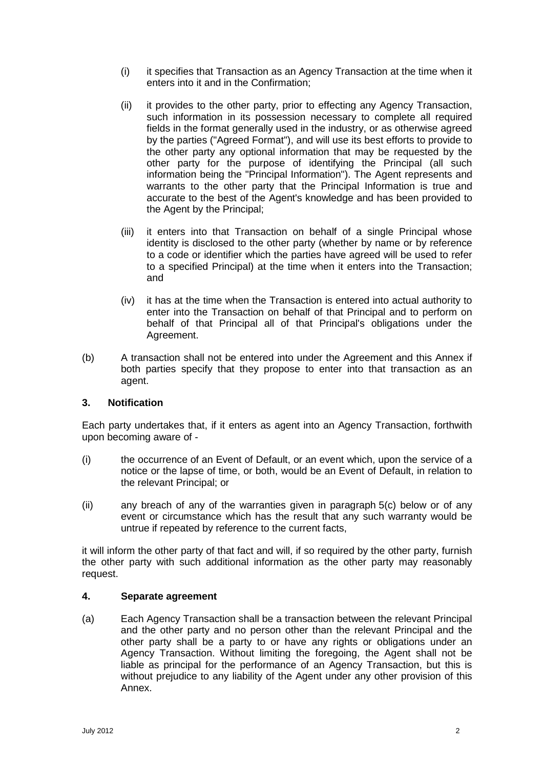- (i) it specifies that Transaction as an Agency Transaction at the time when it enters into it and in the Confirmation;
- (ii) it provides to the other party, prior to effecting any Agency Transaction, such information in its possession necessary to complete all required fields in the format generally used in the industry, or as otherwise agreed by the parties ("Agreed Format"), and will use its best efforts to provide to the other party any optional information that may be requested by the other party for the purpose of identifying the Principal (all such information being the "Principal Information"). The Agent represents and warrants to the other party that the Principal Information is true and accurate to the best of the Agent's knowledge and has been provided to the Agent by the Principal;
- (iii) it enters into that Transaction on behalf of a single Principal whose identity is disclosed to the other party (whether by name or by reference to a code or identifier which the parties have agreed will be used to refer to a specified Principal) at the time when it enters into the Transaction; and
- (iv) it has at the time when the Transaction is entered into actual authority to enter into the Transaction on behalf of that Principal and to perform on behalf of that Principal all of that Principal's obligations under the Agreement.
- (b) A transaction shall not be entered into under the Agreement and this Annex if both parties specify that they propose to enter into that transaction as an agent.

# **3. Notification**

Each party undertakes that, if it enters as agent into an Agency Transaction, forthwith upon becoming aware of -

- (i) the occurrence of an Event of Default, or an event which, upon the service of a notice or the lapse of time, or both, would be an Event of Default, in relation to the relevant Principal; or
- (ii) any breach of any of the warranties given in paragraph 5(c) below or of any event or circumstance which has the result that any such warranty would be untrue if repeated by reference to the current facts,

it will inform the other party of that fact and will, if so required by the other party, furnish the other party with such additional information as the other party may reasonably request.

#### **4. Separate agreement**

(a) Each Agency Transaction shall be a transaction between the relevant Principal and the other party and no person other than the relevant Principal and the other party shall be a party to or have any rights or obligations under an Agency Transaction. Without limiting the foregoing, the Agent shall not be liable as principal for the performance of an Agency Transaction, but this is without prejudice to any liability of the Agent under any other provision of this Annex.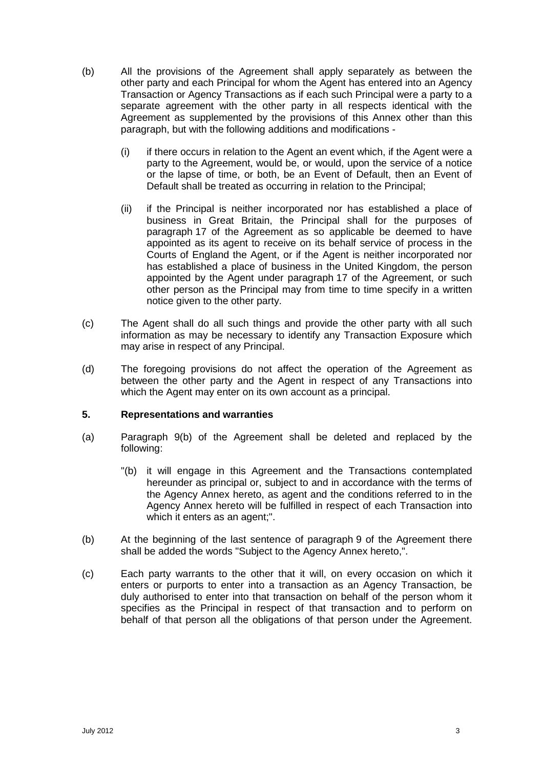- (b) All the provisions of the Agreement shall apply separately as between the other party and each Principal for whom the Agent has entered into an Agency Transaction or Agency Transactions as if each such Principal were a party to a separate agreement with the other party in all respects identical with the Agreement as supplemented by the provisions of this Annex other than this paragraph, but with the following additions and modifications -
	- (i) if there occurs in relation to the Agent an event which, if the Agent were a party to the Agreement, would be, or would, upon the service of a notice or the lapse of time, or both, be an Event of Default, then an Event of Default shall be treated as occurring in relation to the Principal;
	- (ii) if the Principal is neither incorporated nor has established a place of business in Great Britain, the Principal shall for the purposes of paragraph 17 of the Agreement as so applicable be deemed to have appointed as its agent to receive on its behalf service of process in the Courts of England the Agent, or if the Agent is neither incorporated nor has established a place of business in the United Kingdom, the person appointed by the Agent under paragraph 17 of the Agreement, or such other person as the Principal may from time to time specify in a written notice given to the other party.
- (c) The Agent shall do all such things and provide the other party with all such information as may be necessary to identify any Transaction Exposure which may arise in respect of any Principal.
- (d) The foregoing provisions do not affect the operation of the Agreement as between the other party and the Agent in respect of any Transactions into which the Agent may enter on its own account as a principal.

# **5. Representations and warranties**

- (a) Paragraph 9(b) of the Agreement shall be deleted and replaced by the following:
	- "(b) it will engage in this Agreement and the Transactions contemplated hereunder as principal or, subject to and in accordance with the terms of the Agency Annex hereto, as agent and the conditions referred to in the Agency Annex hereto will be fulfilled in respect of each Transaction into which it enters as an agent;".
- (b) At the beginning of the last sentence of paragraph 9 of the Agreement there shall be added the words "Subject to the Agency Annex hereto,".
- (c) Each party warrants to the other that it will, on every occasion on which it enters or purports to enter into a transaction as an Agency Transaction, be duly authorised to enter into that transaction on behalf of the person whom it specifies as the Principal in respect of that transaction and to perform on behalf of that person all the obligations of that person under the Agreement.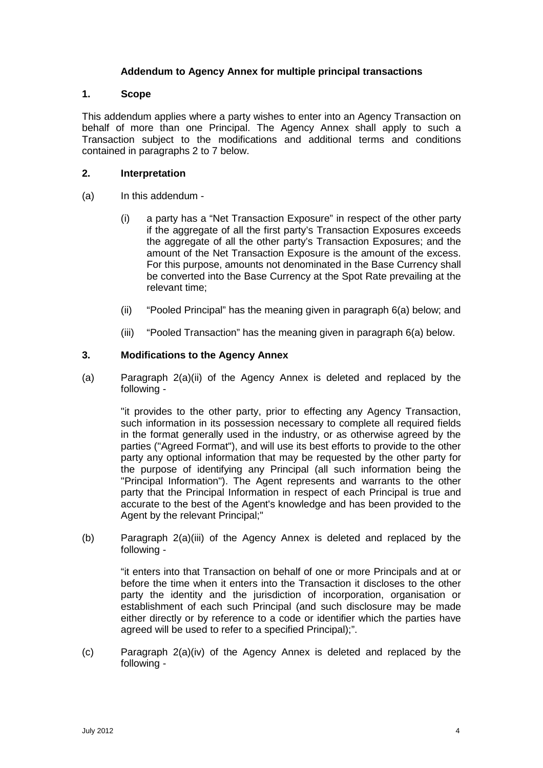# **Addendum to Agency Annex for multiple principal transactions**

#### **1. Scope**

This addendum applies where a party wishes to enter into an Agency Transaction on behalf of more than one Principal. The Agency Annex shall apply to such a Transaction subject to the modifications and additional terms and conditions contained in paragraphs 2 to 7 below.

#### **2. Interpretation**

- (a) In this addendum
	- (i) a party has a "Net Transaction Exposure" in respect of the other party if the aggregate of all the first party's Transaction Exposures exceeds the aggregate of all the other party's Transaction Exposures; and the amount of the Net Transaction Exposure is the amount of the excess. For this purpose, amounts not denominated in the Base Currency shall be converted into the Base Currency at the Spot Rate prevailing at the relevant time;
	- (ii) "Pooled Principal" has the meaning given in paragraph 6(a) below; and
	- (iii) "Pooled Transaction" has the meaning given in paragraph 6(a) below.

# **3. Modifications to the Agency Annex**

(a) Paragraph 2(a)(ii) of the Agency Annex is deleted and replaced by the following -

"it provides to the other party, prior to effecting any Agency Transaction, such information in its possession necessary to complete all required fields in the format generally used in the industry, or as otherwise agreed by the parties ("Agreed Format"), and will use its best efforts to provide to the other party any optional information that may be requested by the other party for the purpose of identifying any Principal (all such information being the "Principal Information"). The Agent represents and warrants to the other party that the Principal Information in respect of each Principal is true and accurate to the best of the Agent's knowledge and has been provided to the Agent by the relevant Principal;"

(b) Paragraph 2(a)(iii) of the Agency Annex is deleted and replaced by the following -

"it enters into that Transaction on behalf of one or more Principals and at or before the time when it enters into the Transaction it discloses to the other party the identity and the jurisdiction of incorporation, organisation or establishment of each such Principal (and such disclosure may be made either directly or by reference to a code or identifier which the parties have agreed will be used to refer to a specified Principal);".

(c) Paragraph 2(a)(iv) of the Agency Annex is deleted and replaced by the following -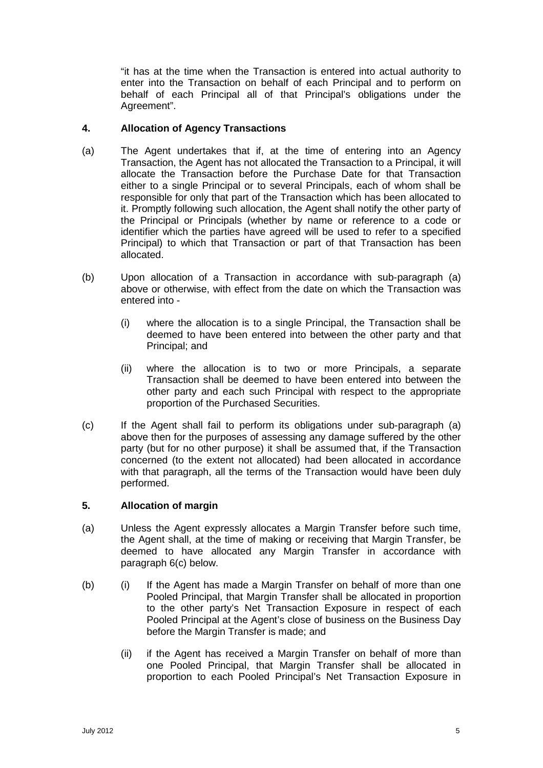"it has at the time when the Transaction is entered into actual authority to enter into the Transaction on behalf of each Principal and to perform on behalf of each Principal all of that Principal's obligations under the Agreement".

# **4. Allocation of Agency Transactions**

- (a) The Agent undertakes that if, at the time of entering into an Agency Transaction, the Agent has not allocated the Transaction to a Principal, it will allocate the Transaction before the Purchase Date for that Transaction either to a single Principal or to several Principals, each of whom shall be responsible for only that part of the Transaction which has been allocated to it. Promptly following such allocation, the Agent shall notify the other party of the Principal or Principals (whether by name or reference to a code or identifier which the parties have agreed will be used to refer to a specified Principal) to which that Transaction or part of that Transaction has been allocated.
- (b) Upon allocation of a Transaction in accordance with sub-paragraph (a) above or otherwise, with effect from the date on which the Transaction was entered into -
	- (i) where the allocation is to a single Principal, the Transaction shall be deemed to have been entered into between the other party and that Principal; and
	- (ii) where the allocation is to two or more Principals, a separate Transaction shall be deemed to have been entered into between the other party and each such Principal with respect to the appropriate proportion of the Purchased Securities.
- (c) If the Agent shall fail to perform its obligations under sub-paragraph (a) above then for the purposes of assessing any damage suffered by the other party (but for no other purpose) it shall be assumed that, if the Transaction concerned (to the extent not allocated) had been allocated in accordance with that paragraph, all the terms of the Transaction would have been duly performed.

# **5. Allocation of margin**

- (a) Unless the Agent expressly allocates a Margin Transfer before such time, the Agent shall, at the time of making or receiving that Margin Transfer, be deemed to have allocated any Margin Transfer in accordance with paragraph 6(c) below.
- (b) (i) If the Agent has made a Margin Transfer on behalf of more than one Pooled Principal, that Margin Transfer shall be allocated in proportion to the other party's Net Transaction Exposure in respect of each Pooled Principal at the Agent's close of business on the Business Day before the Margin Transfer is made; and
	- (ii) if the Agent has received a Margin Transfer on behalf of more than one Pooled Principal, that Margin Transfer shall be allocated in proportion to each Pooled Principal's Net Transaction Exposure in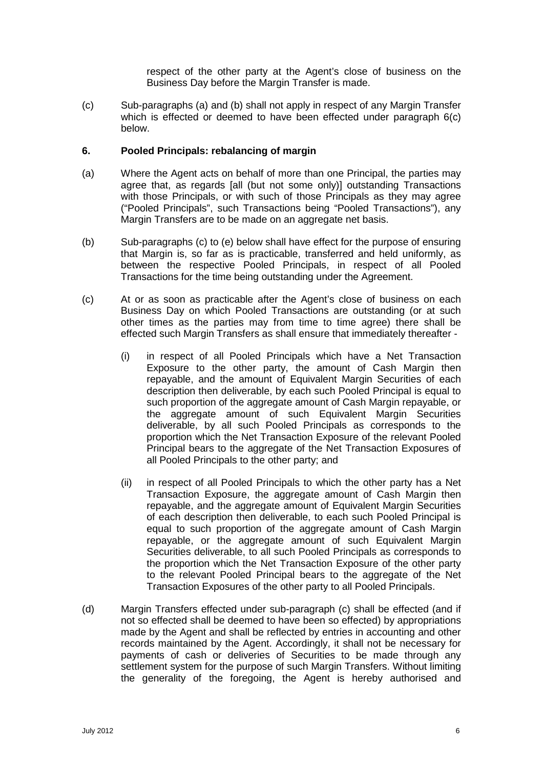respect of the other party at the Agent's close of business on the Business Day before the Margin Transfer is made.

(c) Sub-paragraphs (a) and (b) shall not apply in respect of any Margin Transfer which is effected or deemed to have been effected under paragraph 6(c) below.

#### **6. Pooled Principals: rebalancing of margin**

- (a) Where the Agent acts on behalf of more than one Principal, the parties may agree that, as regards [all (but not some only)] outstanding Transactions with those Principals, or with such of those Principals as they may agree ("Pooled Principals", such Transactions being "Pooled Transactions"), any Margin Transfers are to be made on an aggregate net basis.
- (b) Sub-paragraphs (c) to (e) below shall have effect for the purpose of ensuring that Margin is, so far as is practicable, transferred and held uniformly, as between the respective Pooled Principals, in respect of all Pooled Transactions for the time being outstanding under the Agreement.
- (c) At or as soon as practicable after the Agent's close of business on each Business Day on which Pooled Transactions are outstanding (or at such other times as the parties may from time to time agree) there shall be effected such Margin Transfers as shall ensure that immediately thereafter -
	- (i) in respect of all Pooled Principals which have a Net Transaction Exposure to the other party, the amount of Cash Margin then repayable, and the amount of Equivalent Margin Securities of each description then deliverable, by each such Pooled Principal is equal to such proportion of the aggregate amount of Cash Margin repayable, or the aggregate amount of such Equivalent Margin Securities deliverable, by all such Pooled Principals as corresponds to the proportion which the Net Transaction Exposure of the relevant Pooled Principal bears to the aggregate of the Net Transaction Exposures of all Pooled Principals to the other party; and
	- (ii) in respect of all Pooled Principals to which the other party has a Net Transaction Exposure, the aggregate amount of Cash Margin then repayable, and the aggregate amount of Equivalent Margin Securities of each description then deliverable, to each such Pooled Principal is equal to such proportion of the aggregate amount of Cash Margin repayable, or the aggregate amount of such Equivalent Margin Securities deliverable, to all such Pooled Principals as corresponds to the proportion which the Net Transaction Exposure of the other party to the relevant Pooled Principal bears to the aggregate of the Net Transaction Exposures of the other party to all Pooled Principals.
- (d) Margin Transfers effected under sub-paragraph (c) shall be effected (and if not so effected shall be deemed to have been so effected) by appropriations made by the Agent and shall be reflected by entries in accounting and other records maintained by the Agent. Accordingly, it shall not be necessary for payments of cash or deliveries of Securities to be made through any settlement system for the purpose of such Margin Transfers. Without limiting the generality of the foregoing, the Agent is hereby authorised and